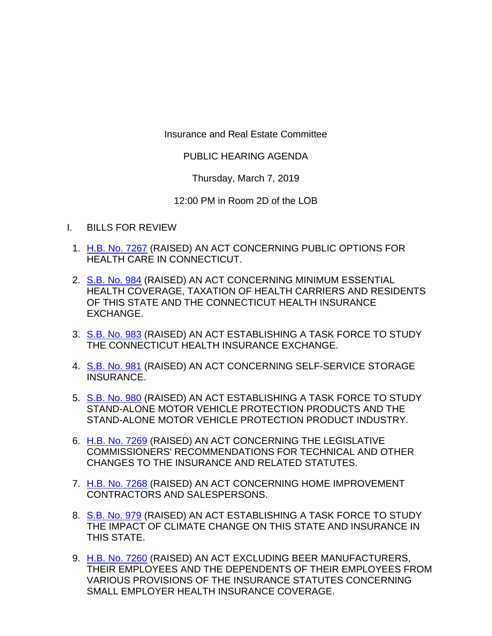Insurance and Real Estate Committee

## PUBLIC HEARING AGENDA

Thursday, March 7, 2019

12:00 PM in Room 2D of the LOB

- I. BILLS FOR REVIEW
	- 1. [H.B. No. 7267](http://www.cga.ct.gov/asp/cgabillstatus/cgabillstatus.asp?selBillType=Bill&bill_num=HB07267&which_year=2019) (RAISED) AN ACT CONCERNING PUBLIC OPTIONS FOR HEALTH CARE IN CONNECTICUT.
	- 2. [S.B. No. 984](http://www.cga.ct.gov/asp/cgabillstatus/cgabillstatus.asp?selBillType=Bill&bill_num=SB00984&which_year=2019) (RAISED) AN ACT CONCERNING MINIMUM ESSENTIAL HEALTH COVERAGE, TAXATION OF HEALTH CARRIERS AND RESIDENTS OF THIS STATE AND THE CONNECTICUT HEALTH INSURANCE EXCHANGE.
	- 3. [S.B. No. 983](http://www.cga.ct.gov/asp/cgabillstatus/cgabillstatus.asp?selBillType=Bill&bill_num=SB00983&which_year=2019) (RAISED) AN ACT ESTABLISHING A TASK FORCE TO STUDY THE CONNECTICUT HEALTH INSURANCE EXCHANGE.
	- 4. [S.B. No. 981](http://www.cga.ct.gov/asp/cgabillstatus/cgabillstatus.asp?selBillType=Bill&bill_num=SB00981&which_year=2019) (RAISED) AN ACT CONCERNING SELF-SERVICE STORAGE INSURANCE.
	- 5. [S.B. No. 980](http://www.cga.ct.gov/asp/cgabillstatus/cgabillstatus.asp?selBillType=Bill&bill_num=SB00980&which_year=2019) (RAISED) AN ACT ESTABLISHING A TASK FORCE TO STUDY STAND-ALONE MOTOR VEHICLE PROTECTION PRODUCTS AND THE STAND-ALONE MOTOR VEHICLE PROTECTION PRODUCT INDUSTRY.
	- 6. [H.B. No. 7269](http://www.cga.ct.gov/asp/cgabillstatus/cgabillstatus.asp?selBillType=Bill&bill_num=HB07269&which_year=2019) (RAISED) AN ACT CONCERNING THE LEGISLATIVE COMMISSIONERS' RECOMMENDATIONS FOR TECHNICAL AND OTHER CHANGES TO THE INSURANCE AND RELATED STATUTES.
	- 7. [H.B. No. 7268](http://www.cga.ct.gov/asp/cgabillstatus/cgabillstatus.asp?selBillType=Bill&bill_num=HB07268&which_year=2019) (RAISED) AN ACT CONCERNING HOME IMPROVEMENT CONTRACTORS AND SALESPERSONS.
	- 8. [S.B. No. 979](http://www.cga.ct.gov/asp/cgabillstatus/cgabillstatus.asp?selBillType=Bill&bill_num=SB00979&which_year=2019) (RAISED) AN ACT ESTABLISHING A TASK FORCE TO STUDY THE IMPACT OF CLIMATE CHANGE ON THIS STATE AND INSURANCE IN THIS STATE.
	- 9. [H.B. No. 7260](http://www.cga.ct.gov/asp/cgabillstatus/cgabillstatus.asp?selBillType=Bill&bill_num=HB07260&which_year=2019) (RAISED) AN ACT EXCLUDING BEER MANUFACTURERS, THEIR EMPLOYEES AND THE DEPENDENTS OF THEIR EMPLOYEES FROM VARIOUS PROVISIONS OF THE INSURANCE STATUTES CONCERNING SMALL EMPLOYER HEALTH INSURANCE COVERAGE.